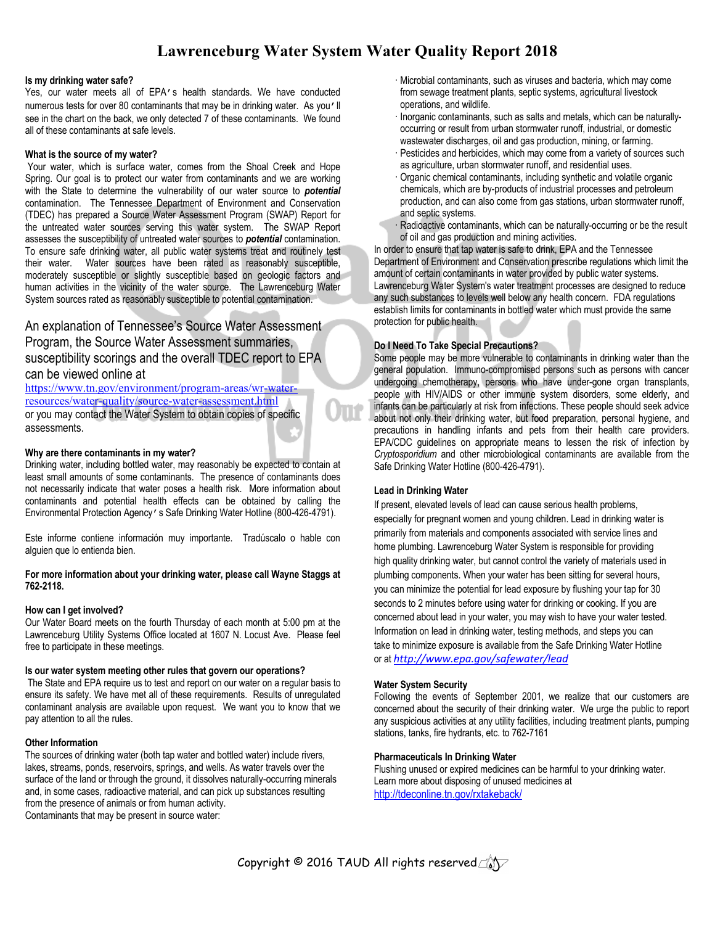## **Lawrenceburg Water System Water Quality Report 2018**

Ont

#### **Is my drinking water safe?**

Yes, our water meets all of EPA's health standards. We have conducted numerous tests for over 80 contaminants that may be in drinking water. As you'll see in the chart on the back, we only detected 7 of these contaminants. We found all of these contaminants at safe levels.

#### **What is the source of my water?**

Your water, which is surface water, comes from the Shoal Creek and Hope Spring. Our goal is to protect our water from contaminants and we are working with the State to determine the vulnerability of our water source to *potential* contamination. The Tennessee Department of Environment and Conservation (TDEC) has prepared a Source Water Assessment Program (SWAP) Report for the untreated water sources serving this water system. The SWAP Report assesses the susceptibility of untreated water sources to *potential* contamination. To ensure safe drinking water, all public water systems treat and routinely test their water. Water sources have been rated as reasonably susceptible, moderately susceptible or slightly susceptible based on geologic factors and human activities in the vicinity of the water source. The Lawrenceburg Water System sources rated as reasonably susceptible to potential contamination.

## An explanation of Tennessee's Source Water Assessment Program, the Source Water Assessment summaries, susceptibility scorings and the overall TDEC report to EPA can be viewed online at

https://www.tn.gov/environment/program-areas/wr-waterresources/water-quality/source-water-assessment.html or you may contact the Water System to obtain copies of specific assessments.

#### **Why are there contaminants in my water?**

Drinking water, including bottled water, may reasonably be expected to contain at least small amounts of some contaminants. The presence of contaminants does not necessarily indicate that water poses a health risk. More information about contaminants and potential health effects can be obtained by calling the Environmental Protection Agency's Safe Drinking Water Hotline (800-426-4791).

Este informe contiene información muy importante. Tradúscalo o hable con alguien que lo entienda bien.

#### **For more information about your drinking water, please call Wayne Staggs at 762-2118.**

#### **How can I get involved?**

Our Water Board meets on the fourth Thursday of each month at 5:00 pm at the Lawrenceburg Utility Systems Office located at 1607 N. Locust Ave. Please feel free to participate in these meetings.

#### **Is our water system meeting other rules that govern our operations?**

The State and EPA require us to test and report on our water on a regular basis to ensure its safety. We have met all of these requirements. Results of unregulated contaminant analysis are available upon request. We want you to know that we pay attention to all the rules.

#### **Other Information**

The sources of drinking water (both tap water and bottled water) include rivers, lakes, streams, ponds, reservoirs, springs, and wells. As water travels over the surface of the land or through the ground, it dissolves naturally-occurring minerals and, in some cases, radioactive material, and can pick up substances resulting from the presence of animals or from human activity. Contaminants that may be present in source water:

- · Microbial contaminants, such as viruses and bacteria, which may come from sewage treatment plants, septic systems, agricultural livestock operations, and wildlife.
- · Inorganic contaminants, such as salts and metals, which can be naturallyoccurring or result from urban stormwater runoff, industrial, or domestic wastewater discharges, oil and gas production, mining, or farming.
- · Pesticides and herbicides, which may come from a variety of sources such as agriculture, urban stormwater runoff, and residential uses.
- · Organic chemical contaminants, including synthetic and volatile organic chemicals, which are by-products of industrial processes and petroleum production, and can also come from gas stations, urban stormwater runoff, and septic systems.
- · Radioactive contaminants, which can be naturally-occurring or be the result of oil and gas production and mining activities.

In order to ensure that tap water is safe to drink, EPA and the Tennessee Department of Environment and Conservation prescribe regulations which limit the amount of certain contaminants in water provided by public water systems. Lawrenceburg Water System's water treatment processes are designed to reduce any such substances to levels well below any health concern. FDA regulations establish limits for contaminants in bottled water which must provide the same protection for public health.

#### **Do I Need To Take Special Precautions?**

Some people may be more vulnerable to contaminants in drinking water than the general population. Immuno-compromised persons such as persons with cancer undergoing chemotherapy, persons who have under-gone organ transplants, people with HIV/AIDS or other immune system disorders, some elderly, and infants can be particularly at risk from infections. These people should seek advice about not only their drinking water, but food preparation, personal hygiene, and precautions in handling infants and pets from their health care providers. EPA/CDC guidelines on appropriate means to lessen the risk of infection by *Cryptosporidium* and other microbiological contaminants are available from the Safe Drinking Water Hotline (800-426-4791).

#### **Lead in Drinking Water**

If present, elevated levels of lead can cause serious health problems, especially for pregnant women and young children. Lead in drinking water is primarily from materials and components associated with service lines and home plumbing. Lawrenceburg Water System is responsible for providing high quality drinking water, but cannot control the variety of materials used in plumbing components. When your water has been sitting for several hours, you can minimize the potential for lead exposure by flushing your tap for 30 seconds to 2 minutes before using water for drinking or cooking. If you are concerned about lead in your water, you may wish to have your water tested. Information on lead in drinking water, testing methods, and steps you can take to minimize exposure is available from the Safe Drinking Water Hotline or at *http://www.epa.gov/safewater/lead*

#### **Water System Security**

Following the events of September 2001, we realize that our customers are concerned about the security of their drinking water. We urge the public to report any suspicious activities at any utility facilities, including treatment plants, pumping stations, tanks, fire hydrants, etc. to 762-7161

#### **Pharmaceuticals In Drinking Water**

Flushing unused or expired medicines can be harmful to your drinking water. Learn more about disposing of unused medicines at http://tdeconline.tn.gov/rxtakeback/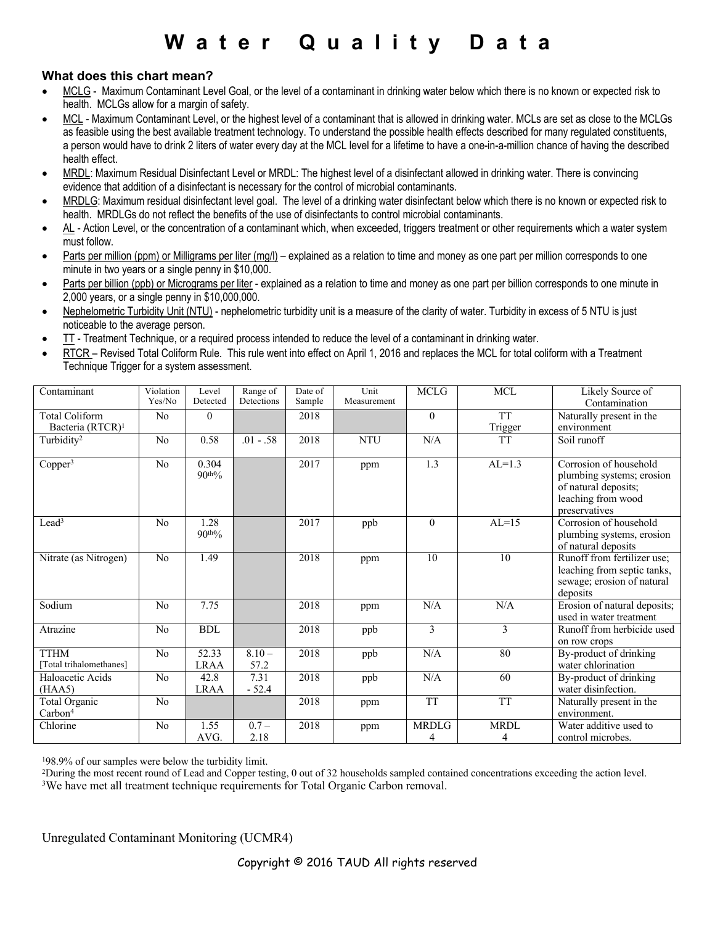# **W a t e r Q u a l i t y D a t a**

### **What does this chart mean?**

- MCLG Maximum Contaminant Level Goal, or the level of a contaminant in drinking water below which there is no known or expected risk to health. MCLGs allow for a margin of safety.
- MCL Maximum Contaminant Level, or the highest level of a contaminant that is allowed in drinking water. MCLs are set as close to the MCLGs as feasible using the best available treatment technology. To understand the possible health effects described for many regulated constituents, a person would have to drink 2 liters of water every day at the MCL level for a lifetime to have a one-in-a-million chance of having the described health effect.
- MRDL: Maximum Residual Disinfectant Level or MRDL: The highest level of a disinfectant allowed in drinking water. There is convincing evidence that addition of a disinfectant is necessary for the control of microbial contaminants.
- MRDLG: Maximum residual disinfectant level goal. The level of a drinking water disinfectant below which there is no known or expected risk to health. MRDLGs do not reflect the benefits of the use of disinfectants to control microbial contaminants.
- AL Action Level, or the concentration of a contaminant which, when exceeded, triggers treatment or other requirements which a water system must follow.
- Parts per million (ppm) or Milligrams per liter (mg/l) explained as a relation to time and money as one part per million corresponds to one minute in two years or a single penny in \$10,000.
- Parts per billion (ppb) or Micrograms per liter explained as a relation to time and money as one part per billion corresponds to one minute in 2,000 years, or a single penny in \$10,000,000.
- Nephelometric Turbidity Unit (NTU) nephelometric turbidity unit is a measure of the clarity of water. Turbidity in excess of 5 NTU is just noticeable to the average person.
- TT Treatment Technique, or a required process intended to reduce the level of a contaminant in drinking water.
- RTCR Revised Total Coliform Rule. This rule went into effect on April 1, 2016 and replaces the MCL for total coliform with a Treatment Technique Trigger for a system assessment.

| Contaminant                                           | Violation<br>Yes/No | Level<br>Detected           | Range of<br>Detections | Date of<br>Sample | Unit<br>Measurement | <b>MCLG</b>       | <b>MCL</b>           | Likely Source of<br>Contamination                                                                                  |
|-------------------------------------------------------|---------------------|-----------------------------|------------------------|-------------------|---------------------|-------------------|----------------------|--------------------------------------------------------------------------------------------------------------------|
| <b>Total Coliform</b><br>Bacteria (RTCR) <sup>1</sup> | No                  | $\theta$                    |                        | 2018              |                     | $\theta$          | <b>TT</b><br>Trigger | Naturally present in the<br>environment                                                                            |
| Turbidity <sup>2</sup>                                | N <sub>o</sub>      | 0.58                        | $.01 - .58$            | 2018              | <b>NTU</b>          | N/A               | <b>TT</b>            | Soil runoff                                                                                                        |
| Copper <sup>3</sup>                                   | N <sub>o</sub>      | 0.304<br>90 <sup>th</sup> % |                        | 2017              | ppm                 | 1.3               | $AL=1.3$             | Corrosion of household<br>plumbing systems; erosion<br>of natural deposits;<br>leaching from wood<br>preservatives |
| Lead <sup>3</sup>                                     | No                  | 1.28<br>90 <sup>th</sup> %  |                        | 2017              | ppb                 | $\theta$          | $AL=15$              | Corrosion of household<br>plumbing systems, erosion<br>of natural deposits                                         |
| Nitrate (as Nitrogen)                                 | No                  | 1.49                        |                        | 2018              | ppm                 | 10                | 10                   | Runoff from fertilizer use;<br>leaching from septic tanks,<br>sewage; erosion of natural<br>deposits               |
| Sodium                                                | No                  | 7.75                        |                        | 2018              | ppm                 | N/A               | N/A                  | Erosion of natural deposits;<br>used in water treatment                                                            |
| Atrazine                                              | No                  | <b>BDL</b>                  |                        | 2018              | ppb                 | 3                 | 3                    | Runoff from herbicide used<br>on row crops                                                                         |
| <b>TTHM</b><br>[Total trihalomethanes]                | No                  | 52.33<br><b>LRAA</b>        | $8.10 -$<br>57.2       | 2018              | ppb                 | N/A               | 80                   | By-product of drinking<br>water chlorination                                                                       |
| Haloacetic Acids<br>(HAA5)                            | No                  | 42.8<br><b>LRAA</b>         | 7.31<br>$-52.4$        | 2018              | ppb                 | N/A               | 60                   | By-product of drinking<br>water disinfection.                                                                      |
| <b>Total Organic</b><br>Carbon <sup>4</sup>           | No                  |                             |                        | 2018              | ppm                 | <b>TT</b>         | <b>TT</b>            | Naturally present in the<br>environment.                                                                           |
| Chlorine                                              | No                  | 1.55<br>AVG.                | $0.7 -$<br>2.18        | 2018              | ppm                 | <b>MRDLG</b><br>4 | <b>MRDL</b><br>4     | Water additive used to<br>control microbes.                                                                        |

198.9% of our samples were below the turbidity limit.

2During the most recent round of Lead and Copper testing, 0 out of 32 households sampled contained concentrations exceeding the action level. 3We have met all treatment technique requirements for Total Organic Carbon removal.

Unregulated Contaminant Monitoring (UCMR4)